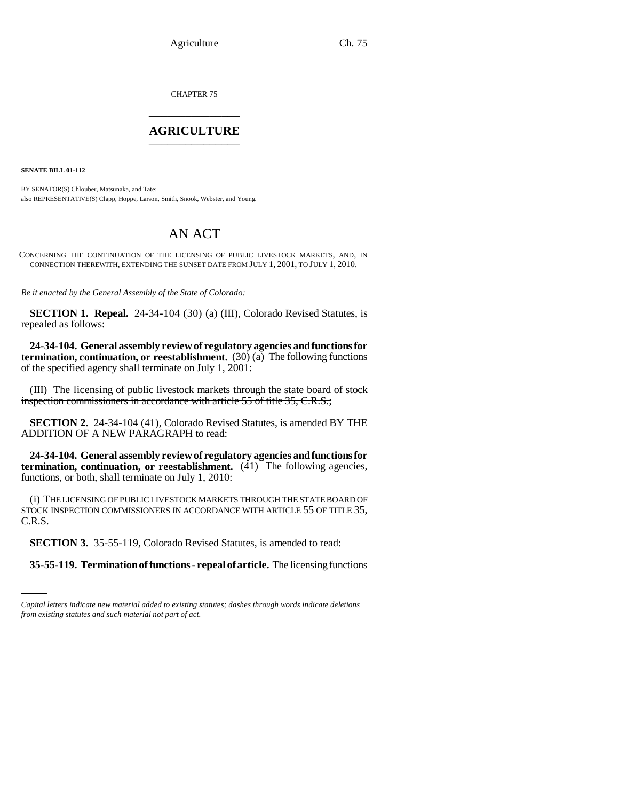CHAPTER 75 \_\_\_\_\_\_\_\_\_\_\_\_\_\_\_

## **AGRICULTURE** \_\_\_\_\_\_\_\_\_\_\_\_\_\_\_

**SENATE BILL 01-112**

BY SENATOR(S) Chlouber, Matsunaka, and Tate; also REPRESENTATIVE(S) Clapp, Hoppe, Larson, Smith, Snook, Webster, and Young.

## AN ACT

CONCERNING THE CONTINUATION OF THE LICENSING OF PUBLIC LIVESTOCK MARKETS, AND, IN CONNECTION THEREWITH, EXTENDING THE SUNSET DATE FROM JULY 1, 2001, TO JULY 1, 2010.

*Be it enacted by the General Assembly of the State of Colorado:*

**SECTION 1. Repeal.** 24-34-104 (30) (a) (III), Colorado Revised Statutes, is repealed as follows:

**24-34-104. General assembly review of regulatory agencies and functions for termination, continuation, or reestablishment.** (30) (a) The following functions of the specified agency shall terminate on July 1, 2001:

(III) The licensing of public livestock markets through the state board of stock inspection commissioners in accordance with article 55 of title 35, C.R.S.;

**SECTION 2.** 24-34-104 (41), Colorado Revised Statutes, is amended BY THE ADDITION OF A NEW PARAGRAPH to read:

**24-34-104. General assembly review of regulatory agencies and functions for termination, continuation, or reestablishment.** (41) The following agencies, functions, or both, shall terminate on July 1, 2010:

(i) THE LICENSING OF PUBLIC LIVESTOCK MARKETS THROUGH THE STATE BOARD OF STOCK INSPECTION COMMISSIONERS IN ACCORDANCE WITH ARTICLE 55 OF TITLE 35, C.R.S.

 **SECTION 3.** 35-55-119, Colorado Revised Statutes, is amended to read:

**35-55-119. Termination of functions - repeal of article.** The licensing functions

*Capital letters indicate new material added to existing statutes; dashes through words indicate deletions from existing statutes and such material not part of act.*